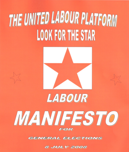# THE UNITED LABOUR PLATFORM **LOOK FOR THE STAR**



# LABOUR

# MANIFESTO FOR

**GENERAL ELECTIONS** 

**8 JULY 2008**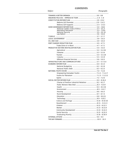### **CONTENTS**

| <i>Subjec</i> |
|---------------|
|               |

| National Leaders Code of Ethics  3.3 - 3.3 3          |  |
|-------------------------------------------------------|--|
|                                                       |  |
|                                                       |  |
|                                                       |  |
|                                                       |  |
|                                                       |  |
|                                                       |  |
|                                                       |  |
|                                                       |  |
| PRODUCTIVE SECTORS REVITALIZATION PLAN  5.0 - 5.6.5   |  |
|                                                       |  |
|                                                       |  |
|                                                       |  |
|                                                       |  |
|                                                       |  |
|                                                       |  |
|                                                       |  |
|                                                       |  |
|                                                       |  |
|                                                       |  |
| Empowering Grenadian Youths  7.1.2 - 7.1.2.7          |  |
|                                                       |  |
|                                                       |  |
|                                                       |  |
| Charter of Positive Industrial Relations  8.2 - 8.2.7 |  |
|                                                       |  |
|                                                       |  |
|                                                       |  |
|                                                       |  |
|                                                       |  |
|                                                       |  |
|                                                       |  |
|                                                       |  |
|                                                       |  |
|                                                       |  |
|                                                       |  |
|                                                       |  |
|                                                       |  |
|                                                       |  |
|                                                       |  |
|                                                       |  |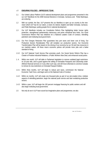# 1.0 **ENDURING POLICIES – IMPRESSIVE TEAM**

- 1.1 Our United Labour Platform (ULP) national development plans and programmes presented in this our ULP Manifesto for the 2008 General Elections in Grenada, Carriacou and Petite Martinique, are enduring.
- $1.2$ With our symbol, the Star, ULP presents this our Manifeso to open up our country to the new vision which ULP has for our nation, a vision of a fairest, brighter and better Grenada, Carriacou and Petite Martinique; putting people first in national development.
- 1.3 Our ULP Manifesto includes our Constitution Reform Plan highlighting better human rights protection, strengthened parliamentary democracy and prime ministerial term limits. Our Good Governance Reform Plan has initiatives for a National Leaders Code of Conduct, rekindling patriotism and instituting local government.
- 1.3.1 Our Port Charges Reduction Plan guarantees less port taxes and lower cost of living. Our Productive Sectors Revitalization Plan will revitalize our productive sectors. Our Economic Transformation Plan will be based on the driving of our economy by our Oil and Gas resources in our maritime waters. All these macro economic polices will provide more jobs and a better standard of living.
- 1.3.2 Our ULP National Youth Service Plan promotes youth. Our Social Sector Reform Plan has a Charter of Positive Industrial Relations, a Public Workers New Deal, and enhanced social justice.
- 1. 4. Within one month, ULP will table in Parliament legislation to remove outdated legal restrictions on 18 year olds, and to guard against the selling of Grenadian Passports and Citizenship under offshore financial services or in any other such way; and will move otherwise to convince Canada to remove its visa restrictions on Grenada Passport-holders.
- 1.4.1 Within three months, ULP will begin to reduce port taxes, commission the National Economic Task Force, and begin work on the National Code of Conduct.
- 1.4.2 Within six months, ULP will create one thousand jobs as part of our job-creation drive, institute aspects of rekindling patriotism, begin the national youth service and start revitalizing productive sectors.
- 1.4.3 Within a year, ULP will begin the 100 percent mortgage financing for public workers and will also begin instituting local government.
- 1.5 Not only do we in ULP have sound but imaginative plans and programmes; we also

*Vote ULP The Star x*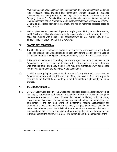have the personnel very capable of implementing them. ULP key personnel are leaders in their respective fields, including law, agriculture, tourism, investment, business management, accounting, education, teaching. This is an impressive team. Our ULP Campaign Leader Dr. Francis Alexis, an internationally respected Grenadian patriot featured in leading "Who's Who" in the world, is Grenada's longest ever serving Attorney-General as an elected Member of Parliament, and has on numerous occasions acted as Prime Minister.

1.6 With our plans and our personnel, if you the people give us ULP your popular mandate, we ULP will work diligently, conscientiously, competently and with integrity to create equal opportunities with justice for all, consistent with our ULP motto: "GOD IN ALL THINGS, TRUTH ONLY , DISCIPLINE ALWAYS."

#### 2.0 **CONSTITUTION REFORM PLAN**

- 2.1 The Constitution of a nation is a supreme law contract whose objectives are to bond the people together in peace and order, under good government, with good governance, to protect and enhance their dignity, liberty and freedom; with justice and fairness for all.
- 2.2 A National Constitution is like wine; the more it ages, the more it mellows. But a Constitution is also like a machine; the longer it is left unserviced, the more it creaks unto breaking point. The happy medium is to mould the Constitution with appropriate reform so as to enhance the objectives of the Constitution.
- 2.3 A political party going into general elections should frankly state publicly its views on Constitution reform; and not, if it gets into office, then seek to foist on the people changes to the Constitution, stealthily, without articulating a philosophy for such changes.

#### 2.4 **REFORMS ULP PROMOTES**

2.4.1 Our ULP Constitution Reform Plan, whose implementation requires a referendum vote of the people, has certain vital features. Constitution reform must seek to strengthen parliamentary democracy, better dispose the people to identify with the State, advance national cohesion, promote national development, enhance answerability of the government to the governed, ward off dictatorship, require accountability for expenditure of public monies, fend off corruption, aid good governance. Constitution reform has to better protect the individual from abuse of power whether ministerial or bureaucratic or the police or otherwise, and more adequately secure the rights of the individual against the power of the State. The bottom line is the enhancement of the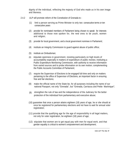dignity of the individual, reflecting the majesty of God who made us in his own image and likeness.

- 2.4.2 ULP will promote reform of the Constitution of Grenada to
	- (1) limit a person serving as Prime Minister to only two consecutive terms or ten consecutive years
	- (2) provide for nominated members of Parliament being chosen to speak for interests additional to those now spoken for, the new ones to be youth, women and religion;
	- (3) provide for local government, and a local government nominee in Parliament;
	- (4) institute an Integrity Commission to guard against abuse of public office;
	- (5) institute an Ombudsman;
	- (6) stipulate openness in government, insisting particularly on high levels of accountability especially in matters of expenditure of public monies; instituting a Public Expenditure Monitoring Commission, with authority to receive information from varied sources and to probe information on its own motion; complementing the Public Accounts Committee of Parliament;
	- $\ddot{\phantom{0}}$ (7) require the Supervisor of Elections to be engaged full-time and only on matters pertaining to the office of Supervisor of Elections, an important factor in ensuring free and fair elections;
	- (8) make the official name of the State be, for all purposes including the name of our national Passport, not only "Grenada", but "Grenada, Carriacou and Petite Martinique";
	- strengthen the rule of law and the independence of the Judiciary for the better protection of the individual from parliamentary and executive abuse; (9)
	- (10) guarantee that once a person attains eighteen (18) years of age, he or she should at once be registered for parliamentary elections and not have to wait for annual voter registration;
	- (11) provide that the qualifying age for the age of responsibility in all legal matters, not only for voter registration, be eighteen (18) years of age;
	- (12) stipulate that women are to get equal pay with men for equal work, and that gender equality is critical to women's empowerment and development;

Vote ULP The Star X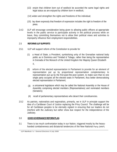- (13) enjoin that children born out of wedlock be accorded the same legal rights and legal status as are enjoyed by children born in wedlock;
- (14) widen and strengthen the rights and freedoms of the individual;
- (15) lay down expressly that freedom of expression includes the right to freedom of the press.
- 2.4.3 ULP will encourage consideration being given to allowing public officers at appropriate levels in the public service to participate actively in the political process while on leave, they committing themselves not to allow their political views and activities to improperly influence their employment responsibilities.

#### 2.5 **REFORMS ULP SUPPORTS**

- 2.5.1 ULP will support reform of the Constitution to provide for
	- (1) a Head of State, a President, symbolising unity of the Grenadian national body politic as in Dominica and Trinidad & Tobago, rather than being the representative in Grenada of the Monarch of the United Kingdom Her Majesty Queen Elizabeth II,
	- (2) reform of the elected representation in Parliament to provide for an element of representation put up by proportional representation complementary to representation put up by the first-past-the-post system, to make sure that no one single party occupies all the elected seats in Parliament, thus better democratising elected representation in Parliament;
	- (3) a unicameral legislature which may be called the National Assembly or the House of Assembly comprising elected members (Representatives) and nominated members (Senators);
	- (4) recall of parliamentary representatives who desert their constituencies.
- 2.5.2 As patriots, nationalists and regionalists, primarily, we in ULP in principle support the idea of a Caribbean Court of Justice replacing the Privy Council. The challenge will be for all Caribbean peoples to be eternally vigilant in ensuring that our leaders do not interfere with the Judiciary but rather show due respect for the independence of the Judiciary.

#### 3.0 **GOOD GOVERNANCE REFORM PLAN**

3.1 There is too much confrontation today in our Nation, triggered mostly by the heavyhanded combativeness and dictatorial tendencies of the New National Party (NNP)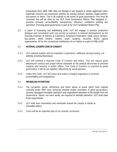Government since 1995. NNP does not hesitate to use physical or verbal aggression when legitimate concerns are expressed, whether by nutmeg workers, teachers, media workers, bus-owners or others. This is all contrary to the tenets of good governance. This must be corrected; this will be done by our ULP Good Governance Reform Plan designed to promote, primarily, accountability, transparency, efficiency, confidence building and patriotism. Pursuing good governance is part of our ULP Constitution Reform Plan.

3.2 In place of frustrating and debilitating strife, ULP will engage in positive productive dialogue and consultation with civil society as partners in national development; as the Grenada Chamber of Industry & Commerce, Employers Federation, trade unions, farmers, bus-owners, street vendors, women, youth, students, churches, NGOs, sports organizations. All for the consensual mobilization of our Nation in a spirit of ONE-LOVE.

#### 3.3 **NATIONAL LEADERS CODE OF CONDUCT**

- 3.3.1 ULP national leaders will set examples in patriotism, selflessly serving society, not selfishly enriching themselves.
- 3.3.2 ULP will institute a National Code of Conduct and Ethics. This will require good behavioural conduct and proper ethical standards of the political directorate to promote integrity and morality in public affairs. The Code of Conduct is required by good governance; it will be put together collectively by social partners.
- 3.3.3 Under this Code, ULP will enact and enforce integrity legislation to promote accountability and transparency.

#### 3.4 **REKINDLING PATRIOTISM**

- 3.4.1 The corruption, greed, selfishness and sheer abuse of power which have reigned cynically under NNP have seriously violated proper principles of good governance, severely damaged Grenadian patriotism and engendered alienation of the people from the Government. Deeds, not mere words, are required to rekindle patriotism. ULP shall meet those requirements.
- 3.4.2 ULP shall erect monuments and memorials around the country in tribute to Grenadian history.
- 3.4.3 Civics will be an important part of our schools' curriculum.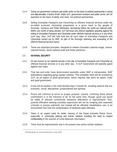- 3.4.4 Giving out government contracts and public works on the basis of political partisanship is wrong and objectionable; it festers ill-will. Under ULP, government contracts and public works will be awarded on the basis of ability and need, not political partisanship.
- 3.4.5 Selling Grenadian Passports and Citizenship as offshore financial services under the so-called economic citizenship programme is a gross insult to the people of Grenada, Carriacou and Petite Martinique; demeaning before the world our national pride. Within one month of being elected, ULP will enact and enforce legislation guarding against the selling of Grenadian Passports and Citizenship under offshore financial services or in any other such way. Also, ULP will fully look into all such sales of Grenadian Passports and Citizenship carried out by NNP, as part of the thorough cleansing and revamping of the offshore financial services sector.
- 3.4.6 These are important principles, designed to redeem Grenada's national image, restore national honour, boost national pride and foster patriotism.

#### 3.5 **NATIONAL SECURITY**

- 3.5.1 Of real concern to our national security is the sale of Grenadian Passports and Citizenship as offshore financial services or in any other way. A ULP Government will speedily guard against such sales.
- 3.5.2 That law and order have deteriorated markedly under NNP is indisputable. NNP ambivalence regarding gangs speaks volumes. This unhealthy trend will be reversed by ULP, as an aspect of good governance, which requires that there be peace, order and good government.
- 3.5.3 Crime will be tackled in the multi-faceted ways it should be, including aspects that are economic, social, educational, jurisprudential and spiritual.
- 3.5.4 Prison will continue to serve its proper purpose, namely, confining those whose confinement is in the interests of all. At the same time, though, good use would be made of relevant correctional measures alternative to imprisonment. Also, juvenile offenders needing custodial supervision will not be mingling with seasoned criminals in prisons ordinarily, but instead will be afforded rehabilitative care in an environment free from the contamination of hardened adult offenders.
- 3.5.5 There is an urgent need for better training of the Royal Grenada Police Force, especially in community policing and human relations including the need to respect confidentiality of the sources of crime-detection information.
- 3.5.6 There must be improvements now in the present sour police-civilian relations.

*ULP Manifesto for General Elections 8 July 2008*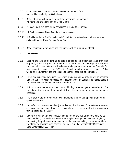- 3.5.7 Complaints by civilians of over-exuberance on the part of the police will be handled by the Ombudsman.
- 3.5.8 Better attention will be paid to matters concerning the capacity, maintenance and training of the Coast Guard.
- 3.5.9 A Coast-Guard sub-base will be established in the north of Grenada.
- 3.5.10 ULP will establish a Coast-Guard auxiliary of civilians.
- 3.5.11 ULP will establish a Fire Prevention and Control Service, with relevant training, separate and apart from the Royal Grenada Police Force.
- 3.5.12 Better equipping of the police and fire fighters will be a top priority for ULP.

# 3.6 **LAW REFORM**

- 3.6.1 Keeping the laws of the land up to date is critical to the preservation and promotion of peace, order and good government. ULP will have our laws regularly reformed and revised, in consultation with relevant social partners such as the Grenada Bar Association, the private sector, NGO's, the Churches and trade unions. Under ULP, law will be an instrument of positive social engineering, not a tool of oppression.
- 3.6.2 Terms and conditions governing the service of Judges and Magistrates will be upgraded and kept at a level which buttresses the independence of the Judiciary so indispensable to the preservation and enhancement of the rule of law.
- 3.6.3 ULP will modernise courthouses, air-conditioning those not yet so attended to. The majesty of the law must be manifest from the environment in which justice is dispensed.
- 3.6.4 The matter of the enforcement of civil judgments will be given special attention for speed and efficacy.
- 3.6.5 Law reform will address criminal justice issues, like the use of correctional measures alternative to imprisonment such as community service orders, and better protection of farmers from praedial larceny.
- 3.6.6 Law reform will look at civil issues, such as settling the age of responsibility as 18 years, patriating our family laws rather than simply copying those laws from England, and solving the problem of long-standing real landowners lacking proper paper title to their lands by affording such persons title under our Title Settlement for Recognised Land-Owners (TISRELO) Plan.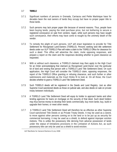# 3.7 **TISRELO**

- 3.7.1 Significant numbers of persons in Grenada, Carriacou and Petite Martinique have for decades been the real owners of lands they occupy but have no proper paper title to those lands.
- 3.7.2 Such persons may lack proper paper title because of several reasons. Thus, people have been buying lands, paying the total purchase price, but not bothering to secure a registered conveyance on sale from vendors. Again, while such persons may have sought such conveyance, their efforts may have come to nought by the untimely death of the vendor.
- 3.7.3 To remedy the plight of such persons, ULP will enact legislation to provide for Title Settlement for Recognised Land-Owners (TISRELO). Persons seeking land title settlement deeds under our ULP TISRELO Plan will make a claim to the TISRELO Office for clearance for such a deed. This office will advertise the claim, invite opposing responses, and prepare a report on the claim and the responses deciding whether to grant clearance as requested.
- 3.7.4 With or without such clearance, a TISRELO claimant may then apply to the High Court for an Order acknowledging that claimant as Recognised Land-Owner over the particular lot of land and vesting that person with a TISRELO Land Title Settlement Deed. On such application, the High Court will consider the TISRELO claim, opposing responses, the report of the TISRELO Office granting or refusing clearance, and such further or other submissions and materials as the Court thinks fit to look at. On all those, the Court decides whether to grant a TISRELO Land Title Settlement Deed.
- 3.7.5 Such TISRELO deeds will be registered in the Deeds and Land Registry. Just as other Supreme Court-sanctioned deeds as those on judicial sale, and also deeds on sale on private treaty between individuals.
- 3.7.6 A TISRELO Land Title Settlement Deed will equip its holder to approach banks and other lending agencies for loans on mortgage on the security of that deed. Such deed holders may thus borrow money to develop their lands commercially; buy more lands; buy, build or upgrade their homes; or meet other needs.
- 3.7.7 A TISRELO Land Title Settlement Deed will therefore be as effective as other Supreme Court-sanctioned Title Deeds or as Private Treaty Deeds. It may be used as a sword, to move against other persons coming on to the land or to be put up as security for commercial borrowing; it may be used as a shield, to defend against improper eviction motions. This is unlike the possessory title deriving from adverse possession of lands under the statue of limitations provisions in the Limitation of Actions Act, as such possessory title can only be used as a shield to avoid eviction.

*ULP Manifesto for General Elections 8 July 2008*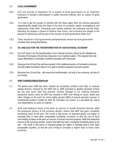#### 3.8 **LOCAL GOVERNMENT**

- 3.8.1 ULP will provide in legislation for a system of local government as an important institution of people's participation in public decision-making, also an aspect of good governance.
- 3.8.2 It is vital to get the people to identify with the State again after the serious alienation separating the people from the State in the face of corruption, greed, incompetence and callousness under NNP. Promoting such identity between the individual and the State, affording the people a chance to fashion their future, and schooling the people in the practice of democracy will be part of the mission of local government under ULP
- 3.8.3 There should be a local government parliamentarian chosen by local government members from among themselves.

#### 3.9 **OIL AND GAS FOR THE TRANSFORMATION OF OUR NATIONAL ECONOMY**

- 3.9.1 Our ULP vision is for the transformation of our national economy, driven by the utilisation by Grenada of Grenada's Oil and Gas resources in our maritime waters. This requires the most urgent delimitation of Grenada's maritime boundary with Venezuela.
- 3.9.2 Revenue from Oil and Gas will boost growth in the traditional sectors of Grenada's economy, and will enable Grenada to take of on a path of positive sustained economic growth.
- 3.9.3 Revenue from Oil and Gas will ensure the transformation, not only of our economy, but also of our society.

#### 4.0 **PORT CHARGES REDUCTION PLAN**

- 4.1 The period since 1995 has been marked by increasing numbers and rates of revenue raising devices, imposed by the NNP who in 1995 promised to abolish personal income tax but who never kept that promise. Serious damage to our national economic productive sectors done by NNP has resulted in NNP over-relying on taxes, duties and other charges at the ports for some eighty percent (80%) of annual recurrent revenue. A fundamental problem created by NNP for Grenada's tax system is a lop-sided top- heavy over-dependence on taxes on imports.
- 4.2 Such over-loading of taxes at the ports as sources of annual recurrent revenue, while the productive sectors of the economy decline, means that NNP has been constantly increasing taxes at the port. The result is that prices of imported goods are higher in Grenada than in most other comparable Caribbean countries, so that the cost of Such over-loading of taxes at the ports as sources of annual recurrent revenue, while the productive sectors of the economy decline, means that NNP has been constantly increasing taxes at the port . The result is that prices of imported goods are higher in Grenada that in most other comparable countries, so that the cost of living in Grenada is higher than in those other countries.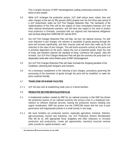This is largely because of NNP mismanagement, putting unnecessary pressure on the backs of poor people.

- 4.3 While ULP recharges the productive sectors, ULP shall reduce taxes, duties, fees and other charges at the port by fifty percent (50%) phased over the first three-year period of a ULP Government, under our ULP Port Charges Reduction Plan. The mechanics of the implementation of this Plan will be the subject of close consultation between ULP and other national development partners, and will have due regard to the need to protect local producers in Grenada, consistent with our regional and international obligations such as those arising from CARICOM CET and the WTO.
- 4.4 Our ULP Port Charges Reduction Plan will help, not hurt, the national revenue. For with such reduction in port charges, the volumes or quantities of goods passing through the ports will increase significantly, and their revenue yield will more than make up for the reduction in the rates of port charges. This will boost economic activity at the ports and in activities dependent on the ports, reduce the cost of imported goods, lower the cost of living, and therefore improve the standard of living. Commerce will expand. Jobs will increase. Our ULP Port Charges Reduction Plan will give the economy the jump-start it so desperately needs after some thirteen years of NNP mismanagement.
- 4.5 Our ULP Port Charges Reduction Plan will make Grenada the shopping paradise of the Caribbean, attracting both shoppers and investors.
- 4.6 As a necessary complement to the reducing of port charges, procedures governing the processing of the movement of goods through the ports will be simplified, to make the ports customer-friendly.

# 4.7 **TRADE-ZONE OR IN-BOND FACILITIES**

4.7.1 ULP will also look at establishing trade-zone or in-bond facilities.

# 5.0 **PRODUCTIVE SECTORS REVITALIZATION PLAN**

- 5.1 A fundamental problem created by NNP for our national economy is that NNP has thrown the productive sectors of our national economy into serious crisis in a misplaced overreliance on offshore financial services, leaving the productive sectors needing very urgent revitalization. NNP has proven true the CARICOM maxim that the cost of poor governance and inappropriate policies in a small society is very large.
- 5.1.1 We must revitalize our productive sectors, especially agriculture, livestock, fisheries, agro-processing, tourism and industries. Our ULP Productive Sectors Revitalization Plan will do so, with appropriate fiscal, budgetary and other measures; to increase production and productivity, create job opportunities, maximize recurrent revenue yield, provide for capital formation, earn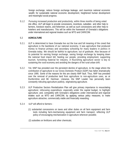foreign exchange, reduce foreign exchange leakage, and maximize national economic wealth; for sustainable national economic development, heightened human development and meaningful social progress.

5.1.2 Pursuing increased production and productivity, within three months of being voted into office, ULP will begin to provide concessions, incentives, subsidies and other help to farmers, livestock rearers, and fishermen; as well as such concessions and other help to hoteliers and manufacturers. This will be within the framework of Grenada's obligations under international and regional treaties such as WTO and CARICOM.

# 5.2 **AGRICULTURE**

- 5.2.1 ULP is determined to have Grenada live out the true and full meaning of the creed that agriculture is the backbone of our national economy. It was agriculture that produced money to finance primary and secondary schooling for many leaders in politics in Grenada today. We should be faithful to agriculture; out of gratitude. Also because of its potential for earning foreign exchange, saving foreign exchange by keeping down the national food import bill, feeding our people, providing employment, supporting tourism, furnishing material for industry. A flourishing agriculture sector is key to sustaining the rural economy and avoiding the dangers of the rural-urban drift.
- 5.2.2 Yet, NNP has presided over the persistent decline of agriculture, to the stage where the contribution of agriculture to our Gross Domestic Product (GDP) has fallen dramatically since 1995. Some of the reasons for this are clearly NNP fault. Thus, NNP has presided over the removal of productive land from agriculture to non-agriculture uses, as at Dunfermline and Mt. Hartman. Likewise, the NNP Leader has personally been constantly ridiculing agriculture publicly, stigmatizing agriculture.
- 5.2.3 ULP Productive Sectors Revitalization Plan will give primary importance to resuscitating agriculture; refocusing expenditure, especially under the capital budget, to highlight agriculture; and, compatibly with Grenada's obligations under international and regional treaties such as WTO and CARICOM, by applying various policy measures; to make agriculture attractive, commercially viable and financially rewarding.
- 5.2.4 ULP will afford to farmers
	- (1) substantial concessions on taxes and other duties on all farm equipment and farm tools including farm-mechanising equipment and farm transport, reflecting ULP policy of encouraging mechanization in agriculture wherever possible;
	- (2) subsidies on fertilizers and other chemicals;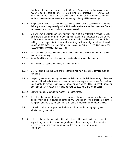that the role historically performed by the Grenada Co-operative Nutmeg Association (GCNA), as the sole exporter of raw nutmegs is preserved for GCNA. But there will be no limit on the producing and exporting of agro-processed nutmeg products; value added endeavours in the nutmeg industry will be encouraged.

- 5.2.13 Sugar-cane farmers have been sold out and betrayed. ULP is convinced that the sugar industry is more than potentially viable. ULP shall therefore ensure that sugar-cane farmers are assured means of grinding their canes economically.
- 5.2.14 ULP will urge the Caribbean Development Bank (CDB) to establish a special, facility for farmers to guarantee farmers development capital at a moderate rate of interest. To the extent that farmers are prevented from obtaining credit by the problem of their lacking proper paper title to their land when they or their family have been the real owners of the land, that problem will be solved by our ULP Title Settlement for Recognised Land-Owners (TISRELO) Plan.
- 5.2.15 State-owned lands should be made available to young people who wish to farm and who need lands for farming.
- 5.2.16 World Food Day will be celebrated on a rotating basis around the country.
- 5.2.17 ULP will stage national competitions among farmers.
- 5.2.18 ULP will ensure that the State provides farmers with farm machinery services such as ploughing.
- 5.2.19 Deepening and strengthening inter-sectoral linkages as the link between agriculture and tourism, ULP will exhort hoteliers, restauranteurs and suppliers of cooked food to boats and aircrafts to promote our unique Grenadian cuisine, to utilize our local Grenadian foods and drinks, to retain in Grenada as much as possible of the tourist dollar.
- 5.2.20 ULP will vigorously pursue the matter of crop insurance.
- 5.2.21 It is clear that praedial larceny is a scourge to farmers, endangering their lives and robbing them of their source of earnings. ULP will improve the protection of farmers from praedial larceny by various means including the revising of the praedial laws.
- 5.2.22 ULP will do all it can to promote the livestock industry, including pigs, goats, rabbits, poultry and cattle.
- 5.2.23 ULP sees it as vitally important that the full potential of the poultry industry is realized; by providing concessions, ensuring good quality feeds, seeing to it that the price of feeds is right, and assisting in making the price of the final product competitive.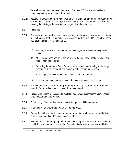We shall move to promote poultry hatcheries. The some \$27.OM spent annually on importing poultry products is much too high.

5.2.24 Vegetable markets around the nation will be well maintained and upgraded. Work by our ULP Leader Dr. Alexis in this regard in the past is instructive. Indeed, Dr. Alexis led in ensuring the building of the new Sauteurs vegetable and meat market.

### 5.3 **FISHERIES**

- 5.3.1 Grenada's national marine resources, especially our fish-stock, have enormus potential. ULP will ensure that this potential is realised as part of our ULP Productive Sectors Revitalization Plan. This we shall do by -
	- (1) assisting fisherfolk to purchase modern, viable , seaworthy ocean-going fishing boats;
	- (2) affording concessions on taxes on fuel for fishing, lines, hooks, tackles; and replacement engine parts;
	- furnishing the Grenada Coast Guard with the capacity and training to discharge properly its duties of search and rescue to better ensure safety at sea; (3)
	- (4) improving the sea-distress communication system for fisherfolk;
	- (5) providing nighttime security services at fishing jetties where necessary.
- 5.3.2 ULP will ensure the guarding and protecting of our fish resources and our fishing grounds. Our exclusive economic zone will be safeguarded.
- 5.3.3 Full use will be made of the scope for exploiting deep-water fish resources such as squid, large snapper and large red fish.
- 5.3.4 Fish-farming of both fresh-water and salt-water species will be encouraged.
- 5.3.5 Marketing of fish around the country will be improved.
- 5.3.6 Every effort will be made to increase our exports of fish, while great care will be taken to meet the demands of domestic consumers of fish.
- 5.3.7 Fish-markets will be brought up to internationally accepted standards, for the health of local fish consumers and to ensure that Grenadian fish is better marketable worldwide.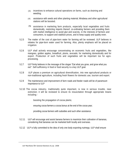- (3) incentives to enhance cultural operations on farms, such as draining and weeding;
- (4) assistance with seeds and other planting material; Mirabeau and other agricultural stations will be boosted;
- (5) assistance in marketing farm products, especially local vegetables and fruits domestically, restricting imports thereof, co-ordinating farmers and providing them with market intelligence to avoid glut and scarcity, in the interests of farmers and consumers, to support and stabilize prices, and to keep supply and quality even.
- 5.2.5 The matter of the cost of pipe-born water for farming will be reviewed. ULP believes in rebates for pipe-born water used for farming. Also, plenty emphasis will be placed on irrigation.
- 5.2.6 ULP shall actively encourage concentrating on economic fruits and vegetables, like mangoes, golden apples, breadfruit, plums, avocado; for marketing domestically and for export. Production of such fruits and vegetables will be important too for agroprocessing.
- 5.2.7 ULP firmly believes in the message of the slogan "Eat what you grow, and grow what you eat": Self-sufficiency in food or food security is a key ULP goal.
- 5.2.8 ULP places a premium on agricultural diversification, into new agricultural products or non-traditional agriculture, including fresh flowers for domestic use, tourism and export.
- 5.2.9 The maintenance and improvement of farm roads and feeder roads will be of paramount importance to ULP
- 5.2.10 The cocoa industry, traditionally quite important, is now in serious trouble, near extinction; it will be reviewed to ensure its resuscitation through appropriate means including -

boosting the propagation of cocoa plants;

ensuring cocoa farmers a cocoa bonus at the end of the cocoa year;

providing cocoa farmers with subsidies and such other assistance.

- 5.2.11 ULP will encourage and assist banana farmers to maximize their cultivation of bananas, considering that bananas can be marketed both locally and overseas.
- 5.2.12 ULP is fully committed to the idea of only one body exporting nutmegs. ULP shall ensure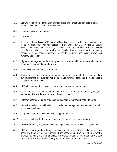- 5.3.8 ULP will insist on standardization of mesh-sizes of fishnets and fish-pots to guard against abuse of our national fish resources.
- 5.3.9 Fish-processing will be a priority.

### 5.4 **TOURISM**

- 5.4.1 Tourism has declined under NNP, especially Cruise Ship Tourism. The tourism sector continues to be in crisis. ULP will reinvigorate Tourism under our ULP Productive Sectors Revitalization Plan. Tourism will truly be made everybody's business. Tourism would be part of our schools' curriculum. At all levels of society it would be stressed that extending hospitality is not being subservient or servile. Courtesy and civility always help humanity and society.
- 5.4.2 High-level management and marketing skills will be attracted into the tourism industry to help ensure its promotion and growth.
- 5.4.3 There will be quality trained tour-guides.
- 5.4.4 Tourists will be wooed to enjoy the natural warmth of our people, the scenic beauty of our environment, our culturally rich heritage and historical sites, and the uniqueness of our spicy Grenadian cuisine.
- 5.4.5 ULP will encourage the providing of duty-free shopping around the country.
- 5.4.6 We shall upgrade facilities around the country which are needed for human hygiene, in the interest of Grenadians, tourists and the environment.
- 5.4.7 Safety at beaches would be enhanced; harassment of tourists will not be tolerated.
- 5.4.8 ULP will actively aid small hotels with consolidated management, development capital and promotion abroad.
- 5.4.9 Larger hotels are assured of meaningful support from ULP.
- 5.4.10 Incentives will be afforded to local investors to invest in the tourist industry.
- 5.4.11 ULP will vigorously encourage airlines to fly passengers to our Spice Isle destination.
- 5.4.12 ULP will move urgently to bring back major tourist cruise ships and also to seek new lines. The head-tax will be rationalized and made competitive in relation to what is charged regionally and what amenities are offered to tourists in Grenada. ULP is quite clear that Cruise Ship Tourism is very important to our national economy.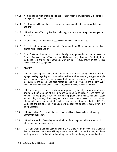- 5.4.13 A cruise ship terminal should be built at a location which is environmentally proper and strategically sound economically.
- 5.4.14 Eco-Tourism will be emphasized, focusing on such natural features as waterfalls, lakes and rivers.
- 5.4.15 ULP will enhance Yachting Tourism, including yacht racing, yacht repairing and yachtoutfitting.
- 5.4.16 Culture-Tourism will be boosted, especially around our August festivals.
- 5.4.17 The potential for tourism development in Carriacou, Petite Martinique and our smaller islands will be made use of.
- 5.4.18 Diversification of the tourism product will be vigorously pursued to include, for example, Sports- Tourism, Health-Tourism, and Niche-marketing Tourism. The budget for marketing Tourism will be beefed up. Our aim is for 100% growth in the Tourism industry over a five-year period.

#### 5.5 **INDUSTRY**

- 5.5.1 ULP shall give special investment inducements to those putting value added into agro-processing; regarding local fruits and vegetables, such as mango, guava, golden apple, avocado, carambola (five-fingers) , passion fruit, tamarind, cucumber, pumpkin; including too nutmegs and cocoa; and also regarding local fish, livestock and poultry. Agroindustries will be boosted under our ULP Productive Sectors Revitalization Plan.
- 5.5.2 ULP lays very great store on a vibrant agro-processing industry, to put an end to the traditional huge wastage of our fruits and vegetables, to preserve and store their content, to boost profits to farmers. The making, preserving, bottling, marketing locally and exporting of wines, juices, jams, nectars and other agro-processed products from our vitamin-rich fruits and vegetables will be pursued most vigorously by ULP. The Marketing and National Importing Board will be required to get seriously involved in agro-processing.
- 5.5.3 ULP aims to take Grenada into the products-assembling industry as far as allowed by our appropriate technology.
- 5.5.4 ULP will ensure that Grenada gets its fair share of the pie produced by the electronic information technology industry.
- 5.5.5 The manufacturing and marketing of local arts and crafts will be boosted. The Canadianfinanced Tanteen Craft Centre will be put to the use for which it was financed, as a home for the production of arts and crafts and a place for the marketing of arts and crafts.

\_\_\_\_\_\_\_\_\_\_\_\_\_\_\_\_\_\_\_\_\_\_\_\_\_\_\_\_\_\_\_\_\_\_\_\_\_\_\_\_\_\_\_\_\_\_\_\_\_\_\_\_\_\_\_\_\_\_\_\_\_\_\_\_\_\_\_\_\_\_\_\_\_\_\_\_\_\_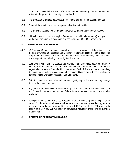Also, ULP will establish arts and crafts centres across the country. There must be more training in the production of quality arts and crafts.

- 5.5.6 The production of aerated beverages, beers, stouts and rum will be supported by ULP.
- 5.5.7 There will be special incentives to spread industries nation-wide.
- 5.5.8 The Industrial Development Corporation (IDC) will be made a truly one-stop agency.
- 5.5.9 ULP will move to protect and exploit Grenada's potential in oil (petroleum) and gas; for the transformation of our economy and society; paras. 3.9 – 3.9.3 above refer.

#### 5.6 **OFFSHORE FINANCIAL SERVICES**

- 5.6.1 NNP created Grenada's offshore financial services sector including offshore banking and the sale of Grenadian Passports and Citizenship under a so-called economic citizenship programme. But while corruption dogged the sector, NNP woefully failed to ensure proper regulatory monitoring or oversight of the sector.
- 5.6.2 Such woeful NNP failure to oversee the offshore financial services sector has had very disastrous consequences. Grenada was negative-listed internationally. Probably the largest offshore bank in Grenada, First International Bank of Grenada crashed, massively defrauding many, including Americans and Canadians. Canada slapped visa restrictions on persons holding Grenadian Passports. Cap Bank sank.
- 5.6.3 Patriotism and economics demand that we urgently repair the far- reaching damage done by those consequences.
- 5.6.4 So, ULP will promptly institute measures to guard against sales of Grenadian Passports and Citizenship as an aspect of the offshore financial services sector or in any other similar way.
- 5.6.5 Salvaging other aspects of the sector requires thorough cleansing and revamping of the sector. This includes a no-holes-barred probe of what went wrong; and letting justice be fully done, regardless of who might be involved. ULP will invite the FBI to get to the bottom of it all. Also, ULP will insist on scrupulous regulatory monitoring or oversight of the sector.

#### 5.7 **INFRASTRUCTURE AND COMMUNICATIONS**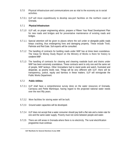- 5.7.0 Physical infrastructure and communications are as vital to the economy as to social activities.
- 5.7.0.1 ULP will move expeditiously to develop sea-port facilities on the northern coast of Grenada.

#### 5.7.1 **Physical Infrastructure**

- 5.7.1.0 ULP will, on proper engineering advice, prepare a Fifteen Year Road Development Plan for new roads and bridges and for preventative maintenance of existing roads and bridges.
- 5.7.1.1 Special attention will be given to places where the soil under or alongside public roads keeps cracking, thus endangering lives and damaging property. These include Tivoli, Palmiste and Red Gate. Soil experts will be consulted.
- 5.7.1.2 The handling of contracts for building roads under NNP has at times been scandalous. The Value for Money Study Report on the Ministry of Works is there for history to condemn NNP.
- 5.7.1.3 The handling of contracts for clearing and cleaning roadside bush and drains under NNP has been extremely scandalous. These contracts went to only one and the same set of people, NNP lackeys. Other Grenadians had to stand aside and watch, frustrated and desperate, as poverty levels rose. Things will be very different with ULP, there will be transparency, justice, equity and fairness in these matters. ULP will reinvigorate the Public Works Department.

#### 5.7.2 **Public Utilities**

- 5.7.2.1 ULP shall have a comprehensive survey done on the water resources of Grenada, Carriacou and Petite Martinique, having regard to the projected national water needs over the next fifty years.
- 5.7.2.2 More facilities for storing water will be built.
- 5.7.2.3 Ground water capacities will be developed.
- 5.7.2.4 ULP does not accept that a water consumer should pay both a flat rate and a meter-rate for one and the same water supply. Poverty must not come between people and water.
- 5.7.2.5 There are still areas in Grenada where there is no electricity. The rural electrification programme must continue.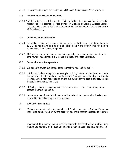5.7.2.6 Many more street lights are needed around Grenada, Carriacou and - Petitie Martinique.

# 5.7.3 **Public Utilities: Telecommunications**

5.7.3.1 NNP failed to represent the people effectively in the telecommunications liberalization negotiations. The telephone service provided in Grenada by Cable & Wireless Grenada Ltd. is excellent, among the best in the world; but the telephone rates presided over by NNP need revisiting.

# 5.7.4 **Communications: Information**

- 5.7.4.1 The media, especially the electronic media, in particular television, will be encouraged by ULP to make available to political parties fairly and evenly time for them to communicate their views to the public.
- 5.7.4.2 ULP will encourage the electronic media, especially television, to focus more than is done now on life and matters in Grenada, Carriacou and Petite Martinique.

#### 5.7.5 **Communications: Transportation**

- 5.7.5.1 ULP supports private bus transportation to meet the needs of the public.
- 5.7.5.2 ULP has an 18-hour a day transportation plan, utilising privately owned buses to provide transportation for the public at nights and on Sundays, public holidays and public festivals. Government will subsidize private bus owners for the cost of this service until the service becomes self-sufficient.
- 5.7.5.3 ULP will grant concessions on public service vehicles so as to reduce transportation costs to the travelling public.
- 5.7.5.4 Laws on the use of seat belts in motor vehicles should be concerned with safety, arc not used to criminalize people or raise revenue.

#### 6.0 **ECONOMIC REFORM PLAN**

6.1 Within three months of being installed, ULP will commission a National Economic Task Force to study and review the economy and make recommendations to reform or

reconstruct the economy comprehensively especially the fiscal regime, and for jumpstarting the economy on the road to sustainable national economic development.The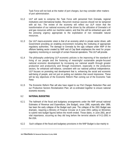Task Force will not look at the matter of port charges, but may consider other matters of port administration.

- 6.1.2 ULP will seek to comprise the Task Force with personnel from Grenada, regional institutions and international bodies. Recurrent revenue sources should not be tampered with ad hoc. The review of the economy will reflect our ULP vision that the transformation of our national economy will be driven by the utilization of Grenada's oil and gas resources within our maritime waters; and that this will be embarked upon with the pressing urgency appropriate to the exploitation of non renewable natural resources.
- 6.1.3 Our ULP macro-economic vision is that of an economy which is private sector driven, with Government providing an enabling environment including the instituting of appropriate regulatory authorities. The damage to Grenada by the ugly collapse under NNP of the offshore banking sector created by NNP and of Cap Bank emphasizes the need for proper regulatory monitoring or oversight of certain financial operations. This ULP will provide.
- 6.1.4 The philosophy underlying ULP economic policies is the improving of the standard of living of our people and the fostering of meaningful sustainable people-focused national economic development by increasing our national wealth through greater production and productivity and through investment, especially in the productive sectors, for enhanced self-reliance, consistent with our national political independence. ULP focuses on promoting real development that is, enhancing the social and economic well-being of people, and not just on putting out statistics that sound impressive. These will be key objectives of the Economic Reform Plan coming out of the Economic Task Force.
- 6.1.5 The Economic Reform Plan will also have regard to our Port Charges Reduction Plan and our Productive Sectors Revitalization Plan; all co-ordinated together to ensure national economic recovery.

#### 6.2 **NATIONAL BUDGETING**

- 6.2.1 The hallmark of the fiscal and budgetary arrangements under the NNP annual national Estimates of Revenue and Expenditure, (the Budget), since 1995, especially after 1999, has been the early collapse of the Budget each year. The collapse of the 2001 Budget was dramatic, requiring a Ministry of Finance Circular on 8 June 2001 calling on Ministries to submit new budget figures before the month ended. Those dates, in June 2001, are of vital importance, occurring as they did long before the terrorist attacks of 9-11-2001 in the USA.
- 6.2.2 Such collapse of the fiscal and budgetary provisions in the NNP Budget is due mainly to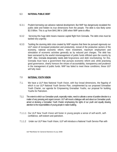#### 6.3 **NATIONAL PUBLIC DEBT**

- 6.3.1 Prudent borrowing can advance national development. But NNP has dangerously escalated the public debt and hidden its true dimensions from the people. The debt is now likely some \$2.0 Billon. This is up from \$441.9M in 1995 when NNP came to office.
- 6.3.2 Servicing this huge debt means massive capital flight from Grenada. The debt crisis must be tackled very urgently.
- 6.3.3 Tackling the stunning debt crisis created by NNP requires that there be pursued vigorously our ULP vision of increased production and productivity, revival of the productive sectors of the economy, national economic reform, more investment, maximum employment and stimulation of economic activities generally as by reduced port charges. The debt has been worsened by the woeful mismanagement of public funds inflicted upon the country by NNP. Also, Grenada desperately needs debt forgiveness and debt rescheduling; for this, Grenada must have a government that pursues economic reform and, while practising good governance, clearly honours the virtues of accountability, transparency and prudence in the management of public funds. NNP has failed to meet these conditions; these ULP will fully meet.

#### 7.0 **NATIONAL YOUTH VISION**

- 7.1. We have a ULP New National Youth Vision, with four broad dimensions, the flagship of which is our ULP National Youth Service Plan, complimented by our proposed Grenadian Youth Charter, our agenda for Empowering Grenadian Youths, our proposal for building Youths for Patriotism.
- 7.1.1 The extent to which our Grenadian youth, especially males, need to cultivate a sense of positive direction is a matter of very pressing and urgent concern. ULP will mount a dialogue with and about our Grenadian youth, aimed at devising a Grenadian Youth Charter emphasising the rights of our youth and equally drawing attention to the responsibilities of young people in nation building.
- 7.1.1.1 Our ULP New Youth Vision will foster in young people a sense of self-worth, selfconfidence, self-esteem and patriotism.
- 7.1.1.2 Under our ULP New Youth Vision, ULP will introduce a National Youth Service Plan with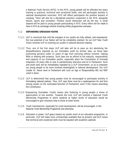a National Youth Service (NYS). In this NYS, young people will be afforded two years training in practical, technical and vocational fields; and will participate actively in national development exercises. NYS will afford participants the positive lessons of camping. There will also be a disciplined practices component in the NYS; alongside leisure, sports and recreation. Positive social interaction will be the key. A small stipend will be paid to young people participating in NYS. Every effort will be made to have in NYS an exchange scheme involving similar programmes overseas.

#### 7.1.2 **EMPOWERING GRENADIAN YOUTHS**

- 7.1.2.1 ULP is convinced that until the energies of our youths are fully utilised, and empowered, the true potential of our Nation will not be completely realised. So our ULP New Youth Vision commits ULP to involving our youths in national decision-making.
- 7.1.2.2 Thus, one of the first steps ULP will take will be to pass an Act abolishing the disqualifications imposed on our Grenadian youth by archaic laws, as those laws preventing persons under 21 years of age from marrying without consent, making Wills or dealing with property. Such laws are an affront to the maturity, responsibility and capacity of our Grenadian youths, especially when the Constitution of Grenada empowers 18 years olds to vote in parliamentary elections and sit in Parliament. Such anti-youth laws will be immediately repealed by a ULP Government, so as to empower our young people to be more involved meaningfully in national development. Our ULP Leader Dr. Alexis went to Parliament with such an Age or Responsibility Bill, but NNP voted it down.
- 7.1.2.3 ULP is determined that young people must be encouraged to participate actively in formulating national policies. Thus, ULP says there must be a spokesperson for and from among youths on the nominated benches of Parliament, even if this means amending the Constitution.
- 7.1.2.4 Empowering Grenadian Youths means also fostering in young people a sense of appreciation of one another. Towards this end, ULP will institute a National Youth Mentorship Programme in which students at higher levels of education would be encouraged to give voluntary help to those at lower levels.
- 7.1.2.5 Youth Volunteerism, especially for youth development, will be encouraged, in the National Youth Mentorship Programme and otherwise.
- 7.1.2.6 Education is power. ULP gears toward our youths much of our education programme. In particular, ULP will make more scholarships available than at present; and ULP insists that technical and vocational skills must be equated with academic aptitude.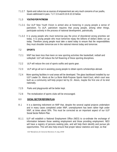7.1.2.7 Sports and culture too as sources of empowerment are very much concerns of our youths, issues addressed in para. 7.2-7.2.6 and 8.10-8.10.10 below.

### 7.1.3 **YOUTHS FOR PATRIOSM**

- 7.1.3.1 Our ULP New Youth Vision is aimed also at fostering in young people a sense of patriotism. To ULP, patriotism requires that young people, among other things, participate actively in the process of national development, patriotically.
- 7.1.3.2 It is young people who must tomorrow pay the price of disordered wrong priorities set today. It is young people who must tomorrow repay the billions of dollars debts run up today. Therefore young people must take a stand today to ensure that the responsibilities they must shoulder tomorrow are in the national interest today and tomorrow.

# 7.2 **SPORTS**

- 7.2.1 NNP has been less than keen on new sporting activities like basketball, netball and volleyball. ULP will induce the full flowering of these sporting disciplines.
- 7.2.2 ULP will reduce the cost of sports outfits and sports gear.
- 7.2.3 ULP will go all out in assisting young people to obtain sports scholarships abroad.
- 7.2.4 More sporting facilities in rural areas will be developed. The glass backboard installed by our ULP Leader Dr. Alexis at the La Borie Multi-Purpose Sports Hard-Court, which court was built as a community self-help project led by Dr. Alexis, maybe the first one of its kind nationally.
- 7.2.5 Parks and playgrounds will be better kept.
- 7.2.6 The revitalization of sports clubs will be encouraged.

#### 8.0 **SOCIAL SECTOR REFORM PLAN**

- 8.1 It is a damning indictment on NNP that, despite the several capital projects undertaken and in many cases completed under NNP, unemployment has been rather high under NNP, at times about 30%. This must be corrected as an important aspect of our ULP Social Sector Reform Plan.
- 8.1.1 ULP will establish a National Employment Office (NEO) to co-ordinate the exchange of information between those seeking employment and those providing employment. NEO will have a registry of persons seeking jobs, and will help them identify and pursue job opportunities. This will also help ensure that proper labour statistics are kept, so that

*ULP Manifesto for General Elections 8 July 2008*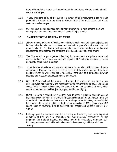there will be reliable figures on the numbers of the work-force who are employed and who are unemployed.

- 8.1.2 A very important policy of the ULP is the pursuit of full employment; a job for each person who is ready, able and willing to work, whether in the public sector, the private sector or as self-employed.
- 8.1.3 ULP will have a small business development programme, to help persons start and develop their own small business. This will assist with job-creation.

# **8.2 CHARTER OF POSITIVE INDUSTRIAL RELATIONS**

- 8.2.1 ULP will promote a Charter of Positive Industrial Relations in pursuit of industrial justice and healthy industrial relations to achieve and maintain a peaceful and stable industrial relations climate. The Charter will accordingly address remuneration, other financial inducements, general terms and conditions of work, and democratic enablement.
- 8.2.2 The Charter will be put together collectively by government, the private sector and workers in their trade unions. An important aspect of ULP industrial relations policies is democratic consultative tri-partism.
- 8.2.3 Under the Charter, salaries and wages must bear a proper relationship to prices of goods and services. Rates of pay are to reflect the reality that the worker must meet the basic needs of life for the worker and his or her family. There must be a fair balance between incomes and prices, so that labour cats its just reward.
- 8.2.4 Our ULP Charter will call for a social contract in which workers in their trade unions and employers will voluntarily and responsibly settle remuneration or pay, salaries and wages, other financial inducements, and general terms and conditions of work, which accord with economic realities, justice, equity, and human dignity.
- 8.2.5 Our ULP Charter is needed now more than ever, to usher in industrial peace in place of the strife provoked by NNP. NNP wrote the most antiworker, anti-union, chapter in the era of modern industrial relations in Grenada, an era begun when Eric Gairy successfully led the struggles for workers' rights and trade union recognition in 1951, gains which NNP seems intent on reversing. Time to close that NNP chapter and replace it with our ULP Charter.
- 8.2.6 Full employment, a contented work force, training and re-tooling lead to the important objectives of high levels of production and ever-increasing productivity. All this augments the national income, maximizes money in circulation, enhances selffulfilment, promotes sustainable national economic development, and helps eliminate poverty.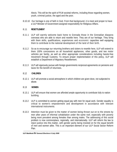Alexis. This will be the spirit of PLM societal reforms, including those regarding women, youth, criminal justice, the aged and the poor.

8.10.10 Our heritage is one of faith in God. From that background, it is meet and proper to have a ULP Minister of Government assigned responsibility for Religious Affairs.

# 8.11 **RESETTLEMENT**

- 8.11.1 ULP will warmly welcome back home to Grenada those in the Grenadian diaspora overseas who are able to return and resettle here. They are of our heritage. They bring with them skills, qualifications, experiences and *economic* capacities well equipping them to contribute to the national development of the land of their birth.
- 8.11.2 So as to encourage our returning brothers and sisters to resettle here, ULP will extend to them 100% concessions on all household appliances, other goods, and two motor vehicles per family, as well as other appropriate considerations including hassle-free movement through Customs. To ensure proper implementation of this policy, ULP will establish a Department of Migratory Resettlement.
- 8.11.3 ULP will vigorously pursue with foreign governments reciprocal agreements on pensions and taxes for the benefit of returnees.

#### 8.12 **CHILDREN**

8.12.1 ULP will promote a social atmosphere in which children are given dove, not subjected to abuse.

#### 8.13 **WOMEN**

- 8.13.1 ULP will ensure that women are afforded ample opportunity to contribute fully to nation building.
- 8.13.2 ULP is committed to women getting equal pay with men for equal work. Gender equality is critical to women's empowerment and development in accordance with relevant international instruments.
- 8.13.3 Attention must be given to the matter of women being thrown out on to the streets by men after years of informal cohabitation under the same roof, especially with poverty being more prevalent among females than among males. The addressing of this social problem is now commonplace, regionally, and internationally. ULP will reform the law to inject justice into this matter, with gender parity being insisted on for the equal benefit of men and women alike. This is an important element of our ULP Social Sector Reform Plan.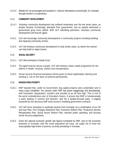8.13.4 Women will be encouraged and assisted to improve themselves economically, for example, through women's co-operatives.

### 8.14 **COMMUNITY DEVELOPMENT**

- 8.14.1 Voluntary community development has suffered immensely over the last seven years, as people became increasingly alienated from government, and as people witnessed a government grow more selfish. With ULP rekindling patriotism, voluntary community development will flourish again.
- 8.14.2 ULP will encourage community development in community projects including building and repairing community centres.
- 8.14.3 ULP will enhance community development to help needy cases, as where the maroon can help build or repair homes.

#### 8.15 **SOCIAL SECURITY**

- 8.15.1 ULP will commission a Family Court.
- 8.15.2 The aged must be secure socially. ULP will institute a basic needs programme for the elderly in health, housing, utilities and transportation.
- 8.15.3 Social security financial assistance will be given to those legitimately claiming and needing it, not on the basis of political partisanship.

# 8.16 **ERADICATING POVERTY**

- 8.16.1 NNP boasted that, under its Government, big capital projects were undertaken and in many cases completed. Yet, poverty under NNP has grown staggeringly and devastatingly, with frustration, desperation, murders and suicides at an all time high. This is one of the worst contradictions ever of Grenada's history. It proves that NNP is fundamentally a party dealing in cement and bitumen, and not a people-focused party, a tragedy worsened by the atrocious NNP track-record in handling government contracts.
- 8.16.2 ULP will move resolutely to eradicate poverty from Grenada, by a combination of our Oil and Gas Plan, Port Charges Reduction Plan, Economic Reform Plan, Productive Sectors Revitalization Plan, Social Sector Reform Plan, relevant public spending, and focused social security programmes.
- 8.16.3 Given the national economic growth rate figures trumpeted by NNP, and on the economic potential of Grenada, with the small population we have, we ought not to have the unacceptably high levels of poverty currently prevailing in Grenada.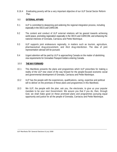8.16.4 Eradicating poverty will be a very important objective of our ULP Social Sector Reform Plan.

#### 9.0 **EXTERNAL AFFAIRS**

- 9.1 ULP is committed to deepening and widening the regional integration process, including especially in the OECS and CARICOM.
- 9.2 The content and conduct of ULP external relations will be geared towards achieving world peace, promoting regionalism especially in the OECS and CARICOM, and enhancing the national interests of Grenada, Carriacou and Petite Martinique.
- 9.3 ULP supports joint endeavours regionally, in matters such as tourism, agriculture, pharmaceutical drug-procurement, and illicit drug-interdiction. The idea of joint representation abroad will be pursued.
- 9.4 Urgent attention will be paid by ULP to approaching Canada on the matter of abolishing visa requirements for Grenadian Passport-holders entering Canada.

#### 10.0 **THE WAY FORWARD**

- 10.1 This Manifesto presents the plans and programmes which ULP prescribes for making a reality of the ULP new vision of the way forward for the people-focused economic social and governmental development of Grenada, Carriacou and Petite Martinique.
- 10.2 ULP has the people with the experiences, qualifications, caring, expertise and political will to deliver on the promises of these plans and programmes in this Manifesto.
- 10.3 We ULP, the people with the plan, ask you, the electorate, to give us your popular mandate to be your next Government. We assure you that if you do, then, through God, we shall make good on these promised plans and programmes pursuing equal opportunity and justice for all the people of Grenada, Carriacou and Petite Martinique.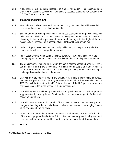8.2.7 A key basis of ULP industrial relations policies is voluntarism. This accommodates protection for essential services on internationally accepted standards acknowledged by ILO. The Charter will reflect this.

### 8.3 **PUBLIC WORKERS NEW DEAL**

- 8.3.1 When jobs are available in the public sector, that is, in government, they will be awarded on merit and need, not on political partisanship.
- 8.3.2 Salaries and other working conditions in the various categories of the public service will reflect the cost of living and competitiveness regionally and internationally; as a means of attracting to the service persons of talent, and dealing with the flight of human resources from Grenada. This is a feature of our ULP Social Sector Reform Plan.
- 8.3.3 Under ULP, public sector workers traditionally paid monthly will be paid fortnightly. The private sector will be encouraged to follow suit.
- 8.3.4 Public sector workers will be paid a Christmas Bonus, which will be at least 50% of their monthly pay for December. That will be in addition to their monthly pay for December.
- 8.3.5 The abolishment of pension and gratuity for public officers appointed after 1983 was a bad mistake. It is a grave disincentive for brilliant young people of talent to make a professional career of the public service including teaching, nursing and policing. It hinders professionalism in the public service.
- 8.3.6 ULP will therefore restore pension and gratuity to all public officers including nurses, teachers and police officers, as fully as these existed before they were abolished in 1983. This will be in addition to NIS. This will be part of the ULP policy of promoting professionalism in the public service, in the national interest.
- 8.3.7 ULP will be generous with study leave with pay for public officers. This will be properly supplemented by no-pay leave. Public workers will be encouraged to further their education and training.
- 8.3.8 ULP will move to ensure that public officers have access to one hundred percent mortgage financing to buy or build homes, helping them to obtain the bridging finance which often is a stumbling block.
- 8.3.9 As part of ULP industrial relations democratic enablement, ULP will afford public officers, at appropriate levels, time-off to contest parliamentary and local government elections, with an option, if need be, to return to the service without discrimination.

\_\_\_\_\_\_\_\_\_\_\_\_\_\_\_\_\_\_\_\_\_\_\_\_\_\_\_\_\_\_\_\_\_\_\_\_\_\_\_\_\_\_\_\_\_\_\_\_\_\_\_\_\_\_\_\_\_\_\_\_\_\_\_\_\_\_\_\_\_\_\_\_\_\_\_\_

# 8.4 **HEALTH**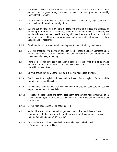- 8.4.1 ULP health policies proceed from the premise that good health is at the foundation of prosperity and progress through increased productivity. A healthy nation is a wealthy nation. Health is wealth.
- 8.4.2 The objectives of ULP health policies are the achieving of longer life, longer periods of good health and an optimum quality of life.
- 8.4.3 ULP will put emphasis on preventive medicine, the avoiding of illness and disease, the promoting of good health. This requires focus on our primary health care system, with popular education on basic health, starting with health education in school. ULP will pursue universal health care, that is, primary health care that is affordable, acceptable and agreeable to recipients.
- 8.4.4 Good nutrition will be encouraged as an important aspect of primary health care.
- 8.4.5 ULP will encourage the paying of attention to other matters usually addressed under primary health care, such as, exercise, rest and relaxation, accident prevention and safety precaution, early screening.
- 8.4.6 There will be compulsory health education in schools to ensure that, from an early age, people understand the importance of preventive health care. This will also widen the availability of basic first aid.
- 8.4.7 ULP will ensure that the General Hospital is a premier health care provider.
- 8.4.8 The Princess Alice Hospital at Mirabeau and the Princess Royal Hospital in Carriacou will be upgraded into general hospitals
- 8.4.9 District medical centres nationwide will be improved. Emergency health care services will be provided at them 24 hours daily.
- 8.4.10 Hospitals, medical centres and other public health care services will be integrated into a National Health System for better co-ordination of the more effective delivery of health care services.
- 8.4.11 Government dispensaries will be better stocked.
- 8.4.12 Senior citizens and others in need will get free or subsidized medicines at Gove dispensaries, whether they are attended to by government-paid doctors , or private doctors, depending on one's ability to pay.
- 8.4.13 Senior citizens and others in need will be assured of free medical attention at Government medical facilities.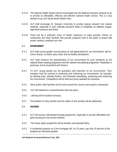- 8.4.14 The National Health System will be incorporated into the National Insurance Scheme so as to provide an affordable, effective and efficient national health service. This is a key element of our ULP Social Sector Reform Plan.
- 8.4.15 ULP shall encourage St. George's University to conduct special research into tropical medicine, especially in such culturally pervasive fields of complaints as diabetes (sugar), high blood pressure and stroke.
- 8.4.16 There will be a sufficient corps of health inspectors to make periodic checks on restaurants and other facilities that provide prepared food to the public to ensure that proper sanitary conditions are met.

# 8.5 **ENVIRONMENT**

- 8.5.1 ULP shall nurture greater consciousness of, and appreciation for, our environment, with its scenic beauty, its balmy spicy odour and its healthy atmosphere.
- 8.5.2 ULP shall enhance the beautification of our environment by such initiatives as the national flower keeping programme and the national tree-planting programme. Roadsides in particular will be beautified with flowers.
- 8.5.3 To ULP, young people are the guardians and inheritors of our environment. Their energies must be involved in protecting and enhancing our environment, for example, by planting trees, planting flowers, and otherwise beautifying, preserving and enhancing our environment. Competitions will be held and prizes awarded as incentives.
- 8.5.4 More public toilet facilities will be built around the country and properly maintained.
- 8.5.5 ULP will implement a comprehensive land use policy.
- 8.5.6 Littering will be tackled seriously.
- 8.5.7 The problem of stray animals and the matter of sick animals will be addressed.

#### 8.6 **HOUSING**

- 8.6.1 ULP will pursue a developed housing programme, especially to provide affordable and good housing for low-income families.
- 8.6.2 The house repair programme will be boosted, and operated fairly.
- 8.6.3 A residential property on a first mortgage will, for 10 years, pay only 10 percent of the property tax otherwise payable.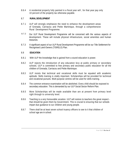8.6.4 A residential property fully painted in a fiscal year will , for that year pay only 10 percent of the property tax otherwise payable.

### 8.7 **RURAL DEVELOPMENT**

- 8.7.1 ULP will strongly emphasize the need to enhance the development areas of Grenada, Carriacou and Petite Martinique, through a comprehensive Rural Development Programme.
- 8.7.2 Our ULP Rural Development Programme will be concerned with the various aspects of development. These will include physical infrastructure, social amenities and human resources.
- 8.7.3 A significant aspect of our ULP Rural Development Programme will be our Title Settlement for Recognised Land-Owners (TISRELO) Plan.

# 8.8 **EDUCATION**

- 8.8.1 With ULP the knowledge that is gained from a sound education is power.
- 8.8.2 ULP rejects the introduction of any education levy at public primary or secondary schools. ULP is committed to free primary and secondary public education for all the children of Grenada, Carriacou and Petite Martinique.
- 8.8.3 ULP insists that technical and vocational skills must be equated with academic aptitude. Skills training is vitally important. Scholarships will be provided for technical and vocational pursuits. Multi-purpose centres will be used for skills training.
- 8.8.4 The common entrance examination will be abolished. Every child should be exposed to secondary education. This is demanded by our ULP Social Sector Reform Plan.
- 8.8.5 More Scholarships will be made available than are at present from primary level right through to university level.
- 8.8.6 Teaching is a very honourable vocation. ULP will restore to teachers the great respect that should be given them by Government. This is crucial to ensuring that our schools impart due guidance to our children and young people.
- 8.8.7 There shall be at least seven school truancy officers to see to it that children of school age are in school.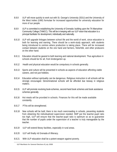- 8.8.8 ULP will move quickly to work out with St. George's University (SGU) and the University of the West Indies (UWI) formulae for increased opportunities for university education for more of our people.
- 8.8.9 ULP is committed to establishing the University of Grenada: building upon the TA Marryshow Community College (TAMCC). This will be in keeping with our ULP vision that education is a principal facilitator for development, individually and nationally.
- 8.8.10 ULP will upgrade linkages between school life and the world of work, since education is both for learning and earning. There should be a work-study approach, with students being introduced to centres where production is taking place. There will be increased contact between students on the one hand and farmers, fisherfolk, and other producers on the other hand.
- 8.8.11 Education should be geared to both learning and national development. Thus agriculture in schools should be for all, from kindergarten up.
- 8.8.12 Health and physical education would be compulsory in schools generally.
- 8.8.13 Sports and culture will be presented in schools as aspects of education affording viable careers, and not just hobbies.
- 8.8.14 Education without spirituality can be dangerous. Religious instruction in all schools will be strongly encouraged. Denominational schools will be afforded due leeway in religious matters.
- 8.8.15 ULP will promote revolving book-schemes, second-hand book schemes and book assistance schemes generally.
- 8.8.16 Hot meals will be provided in schools. Finances for this will be made available constantly.
- 8.8.17 PTAs will be strengthened.
- 8.8.18 New schools will be built; there is too much overcrowding in schools, preventing students from obtaining the individualized supervision needed. NNP put the teacher-pupil ratio too high, ULP will ensure that the teacher-pupil ratio is optimum so as to guarantee that the number of pupils under the supervision of a teacher is truly manageable by the teacher.
- 8.8.19 ULP will extend library facilities, especially in rural areas.
- 8.8.20 ULP will finally rid Grenada of illiteracy.
- 8.8.21 With ULP education shall be a potent weapon against poverty.